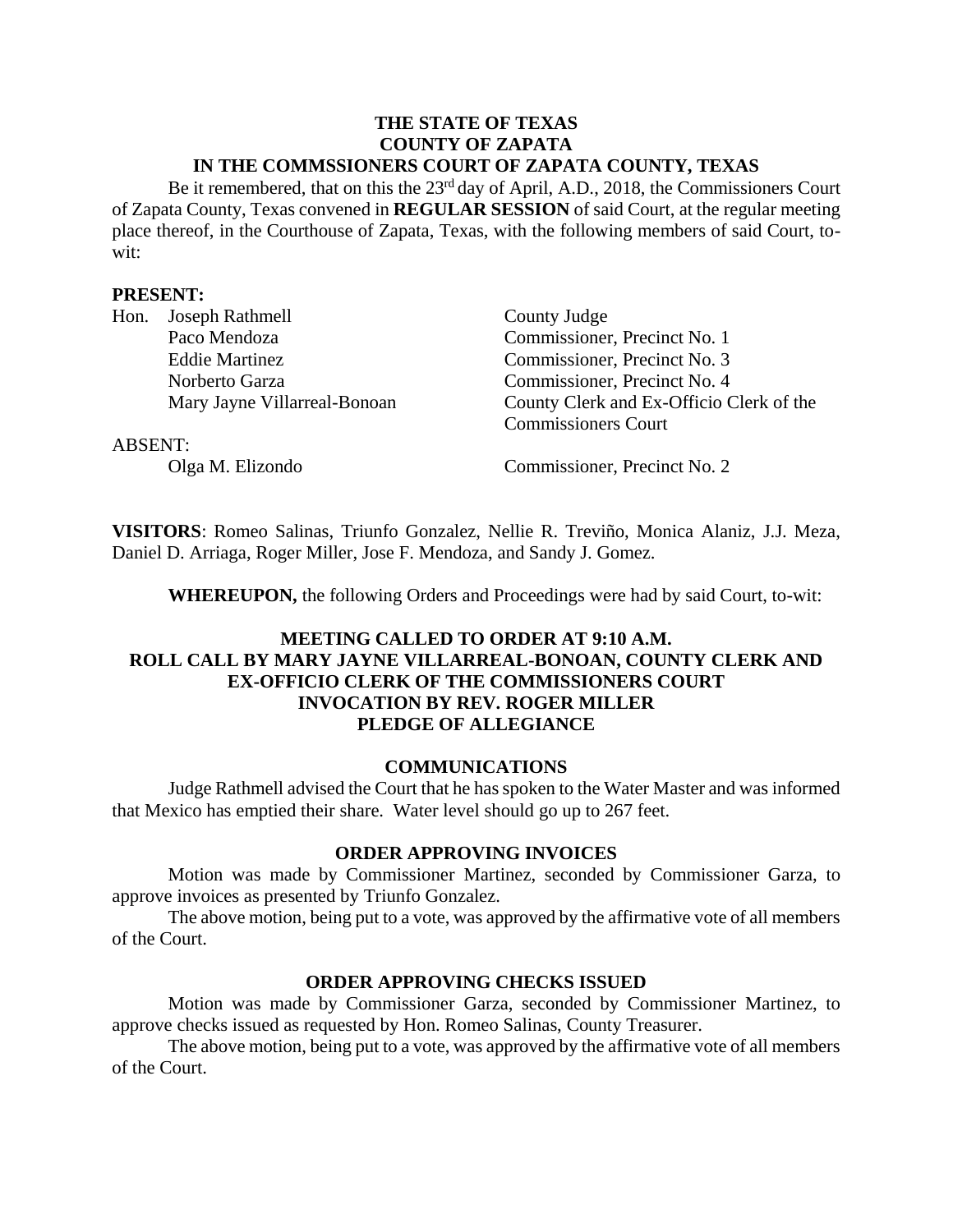#### **THE STATE OF TEXAS COUNTY OF ZAPATA IN THE COMMSSIONERS COURT OF ZAPATA COUNTY, TEXAS**

Be it remembered, that on this the 23<sup>rd</sup> day of April, A.D., 2018, the Commissioners Court of Zapata County, Texas convened in **REGULAR SESSION** of said Court, at the regular meeting place thereof, in the Courthouse of Zapata, Texas, with the following members of said Court, towit:

### **PRESENT:**

| Hon.           | Joseph Rathmell              | County Judge                             |
|----------------|------------------------------|------------------------------------------|
|                | Paco Mendoza                 | Commissioner, Precinct No. 1             |
|                | <b>Eddie Martinez</b>        | Commissioner, Precinct No. 3             |
|                | Norberto Garza               | Commissioner, Precinct No. 4             |
|                | Mary Jayne Villarreal-Bonoan | County Clerk and Ex-Officio Clerk of the |
|                |                              | <b>Commissioners Court</b>               |
| <b>ABSENT:</b> |                              |                                          |
|                | Olga M. Elizondo             | Commissioner, Precinct No. 2             |

**VISITORS**: Romeo Salinas, Triunfo Gonzalez, Nellie R. Treviño, Monica Alaniz, J.J. Meza, Daniel D. Arriaga, Roger Miller, Jose F. Mendoza, and Sandy J. Gomez.

**WHEREUPON,** the following Orders and Proceedings were had by said Court, to-wit:

### **MEETING CALLED TO ORDER AT 9:10 A.M. ROLL CALL BY MARY JAYNE VILLARREAL-BONOAN, COUNTY CLERK AND EX-OFFICIO CLERK OF THE COMMISSIONERS COURT INVOCATION BY REV. ROGER MILLER PLEDGE OF ALLEGIANCE**

### **COMMUNICATIONS**

Judge Rathmell advised the Court that he has spoken to the Water Master and was informed that Mexico has emptied their share. Water level should go up to 267 feet.

### **ORDER APPROVING INVOICES**

Motion was made by Commissioner Martinez, seconded by Commissioner Garza, to approve invoices as presented by Triunfo Gonzalez.

The above motion, being put to a vote, was approved by the affirmative vote of all members of the Court.

### **ORDER APPROVING CHECKS ISSUED**

Motion was made by Commissioner Garza, seconded by Commissioner Martinez, to approve checks issued as requested by Hon. Romeo Salinas, County Treasurer.

The above motion, being put to a vote, was approved by the affirmative vote of all members of the Court.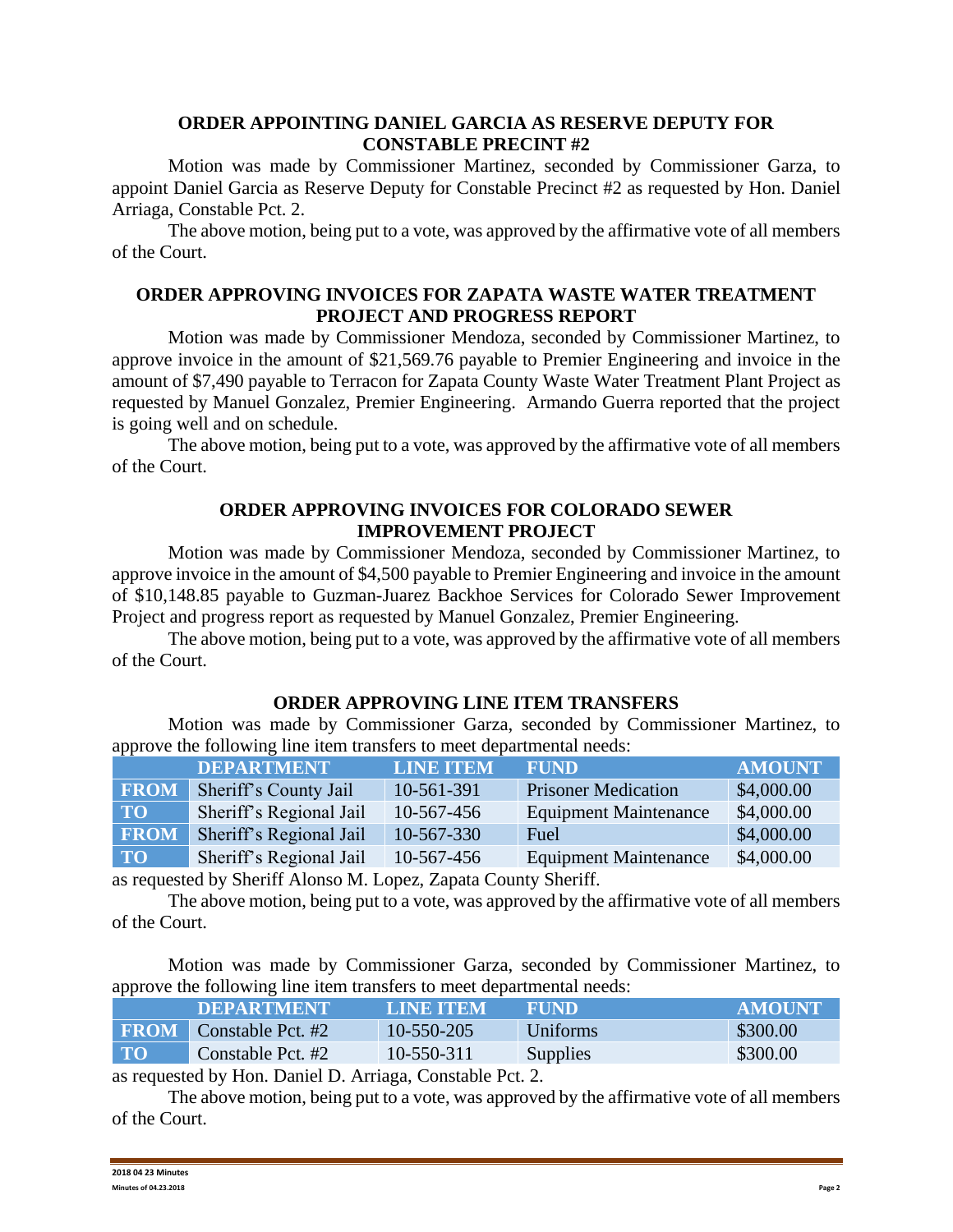### **ORDER APPOINTING DANIEL GARCIA AS RESERVE DEPUTY FOR CONSTABLE PRECINT #2**

Motion was made by Commissioner Martinez, seconded by Commissioner Garza, to appoint Daniel Garcia as Reserve Deputy for Constable Precinct #2 as requested by Hon. Daniel Arriaga, Constable Pct. 2.

The above motion, being put to a vote, was approved by the affirmative vote of all members of the Court.

### **ORDER APPROVING INVOICES FOR ZAPATA WASTE WATER TREATMENT PROJECT AND PROGRESS REPORT**

Motion was made by Commissioner Mendoza, seconded by Commissioner Martinez, to approve invoice in the amount of \$21,569.76 payable to Premier Engineering and invoice in the amount of \$7,490 payable to Terracon for Zapata County Waste Water Treatment Plant Project as requested by Manuel Gonzalez, Premier Engineering. Armando Guerra reported that the project is going well and on schedule.

The above motion, being put to a vote, was approved by the affirmative vote of all members of the Court.

## **ORDER APPROVING INVOICES FOR COLORADO SEWER IMPROVEMENT PROJECT**

Motion was made by Commissioner Mendoza, seconded by Commissioner Martinez, to approve invoice in the amount of \$4,500 payable to Premier Engineering and invoice in the amount of \$10,148.85 payable to Guzman-Juarez Backhoe Services for Colorado Sewer Improvement Project and progress report as requested by Manuel Gonzalez, Premier Engineering.

The above motion, being put to a vote, was approved by the affirmative vote of all members of the Court.

### **ORDER APPROVING LINE ITEM TRANSFERS**

Motion was made by Commissioner Garza, seconded by Commissioner Martinez, to approve the following line item transfers to meet departmental needs:

|             | <b>DEPARTMENT</b>       | <b>LINE ITEM</b> | <b>FUND</b>                  | <b>AMOUNT</b> |
|-------------|-------------------------|------------------|------------------------------|---------------|
| <b>FROM</b> | Sheriff's County Jail   | 10-561-391       | <b>Prisoner Medication</b>   | \$4,000.00    |
| <b>TO</b>   | Sheriff's Regional Jail | 10-567-456       | <b>Equipment Maintenance</b> | \$4,000.00    |
| <b>FROM</b> | Sheriff's Regional Jail | 10-567-330       | Fuel                         | \$4,000.00    |
| <b>TO</b>   | Sheriff's Regional Jail | 10-567-456       | <b>Equipment Maintenance</b> | \$4,000.00    |
|             |                         |                  |                              |               |

as requested by Sheriff Alonso M. Lopez, Zapata County Sheriff.

The above motion, being put to a vote, was approved by the affirmative vote of all members of the Court.

Motion was made by Commissioner Garza, seconded by Commissioner Martinez, to approve the following line item transfers to meet departmental needs:

|             | <b>DEPARTMENT</b>                           | LINE ITEM                         | <b>FUND</b>     | <b>AMOUNT</b> |
|-------------|---------------------------------------------|-----------------------------------|-----------------|---------------|
| <b>FROM</b> | Constable Pct. #2                           | 10-550-205                        | Uniforms        | \$300.00      |
| <b>TO</b>   | Constable Pct. #2                           | 10-550-311                        | <b>Supplies</b> | \$300.00      |
|             | $\cdot$ 11 II R $\cdot$ 1 R $\cdot$ $\cdot$ | $\cdots$ 11 $\mathbb{R}$ $\cdots$ |                 |               |

as requested by Hon. Daniel D. Arriaga, Constable Pct. 2.

The above motion, being put to a vote, was approved by the affirmative vote of all members of the Court.